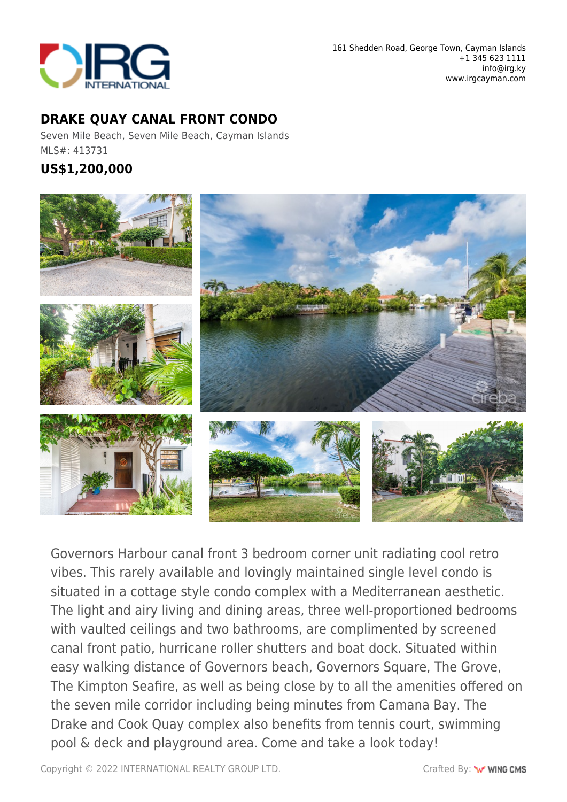

## **DRAKE QUAY CANAL FRONT CONDO**

Seven Mile Beach, Seven Mile Beach, Cayman Islands MLS#: 413731

## **US\$1,200,000**



Governors Harbour canal front 3 bedroom corner unit radiating cool retro vibes. This rarely available and lovingly maintained single level condo is situated in a cottage style condo complex with a Mediterranean aesthetic. The light and airy living and dining areas, three well-proportioned bedrooms with vaulted ceilings and two bathrooms, are complimented by screened canal front patio, hurricane roller shutters and boat dock. Situated within easy walking distance of Governors beach, Governors Square, The Grove, The Kimpton Seafire, as well as being close by to all the amenities offered on the seven mile corridor including being minutes from Camana Bay. The Drake and Cook Quay complex also benefits from tennis court, swimming pool & deck and playground area. Come and take a look today!